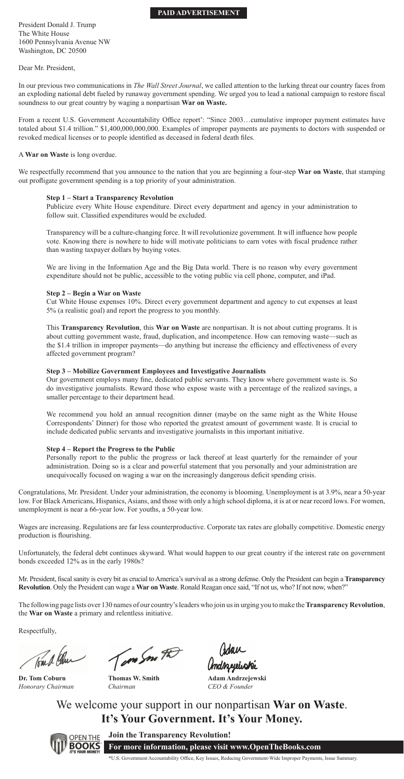## **PAID ADVERTISEMENT**

President Donald J. Trump The White House 1600 Pennsylvania Avenue NW Washington, DC 20500

Dear Mr. President,

In our previous two communications in *The Wall Street Journal*, we called attention to the lurking threat our country faces from an exploding national debt fueled by runaway government spending. We urged you to lead a national campaign to restore fiscal soundness to our great country by waging a nonpartisan **War on Waste.**

From a recent U.S. Government Accountability Office report\*: "Since 2003...cumulative improper payment estimates have totaled about \$1.4 trillion." \$1,400,000,000,000. Examples of improper payments are payments to doctors with suspended or revoked medical licenses or to people identified as deceased in federal death files.

We respectfully recommend that you announce to the nation that you are beginning a four-step **War on Waste**, that stamping out profligate government spending is a top priority of your administration.

Publicize every White House expenditure. Direct every department and agency in your administration to follow suit. Classified expenditures would be excluded.

Transparency will be a culture-changing force. It will revolutionize government. It will influence how people vote. Knowing there is nowhere to hide will motivate politicians to earn votes with fiscal prudence rather than wasting taxpayer dollars by buying votes.

A **War on Waste** is long overdue.

We are living in the Information Age and the Big Data world. There is no reason why every government expenditure should not be public, accessible to the voting public via cell phone, computer, and iPad.

#### **Step 1 – Start a Transparency Revolution**

Our government employs many fine, dedicated public servants. They know where government waste is. So do investigative journalists. Reward those who expose waste with a percentage of the realized savings, a smaller percentage to their department head.

administration. Doing so is a clear and powerful statement that you personally and your administration are unequivocally focused on waging a war on the increasingly dangerous deficit spending crisis.

## **Step 2 – Begin a War on Waste**

Wages are increasing. Regulations are far less counterproductive. Corporate tax rates are globally competitive. Domestic energy production is flourishing.

Cut White House expenses 10%. Direct every government department and agency to cut expenses at least 5% (a realistic goal) and report the progress to you monthly.

Mr. President, fiscal sanity is every bit as crucial to America's survival as a strong defense. Only the President can begin a **Transparency Revolution**. Only the President can wage a **War on Waste**. Ronald Reagan once said, "If not us, who? If not now, when?"

This **Transparency Revolution**, this **War on Waste** are nonpartisan. It is not about cutting programs. It is about cutting government waste, fraud, duplication, and incompetence. How can removing waste—such as the \$1.4 trillion in improper payments—do anything but increase the efficiency and effectiveness of every affected government program?

## **Step 3 – Mobilize Government Employees and Investigative Journalists**

We recommend you hold an annual recognition dinner (maybe on the same night as the White House Correspondents' Dinner) for those who reported the greatest amount of government waste. It is crucial to include dedicated public servants and investigative journalists in this important initiative.

## **Step 4 – Report the Progress to the Public**

Personally report to the public the progress or lack thereof at least quarterly for the remainder of your

Congratulations, Mr. President. Under your administration, the economy is blooming. Unemployment is at 3.9%, near a 50-year low. For Black Americans, Hispanics, Asians, and those with only a high school diploma, it is at or near record lows. For women, unemployment is near a 66-year low. For youths, a 50-year low.

Unfortunately, the federal debt continues skyward. What would happen to our great country if the interest rate on government bonds exceeded 12% as in the early 1980s?

The following page lists over 130 names of our country's leaders who join us in urging you to make the **Transparency Revolution**, the **War on Waste** a primary and relentless initiative.

Respectfully,

Tom A Chur

We welcome your support in our nonpartisan **War on Waste**. **It's Your Government. It's Your Money.**



**Join the Transparency Revolution!**

**For more information, please visit www.OpenTheBooks.com**

\*U.S. Government Accountability Office, Key Issues, Reducing Government-Wide Improper Payments, Issue Summary.

**Adam Andrzejewski** *CEO & Founder*

**Thomas W. Smith** *Chairman*

Crdau<br>Andrzegeische

**Dr. Tom Coburn** *Honorary Chairman*

Tom Son FD